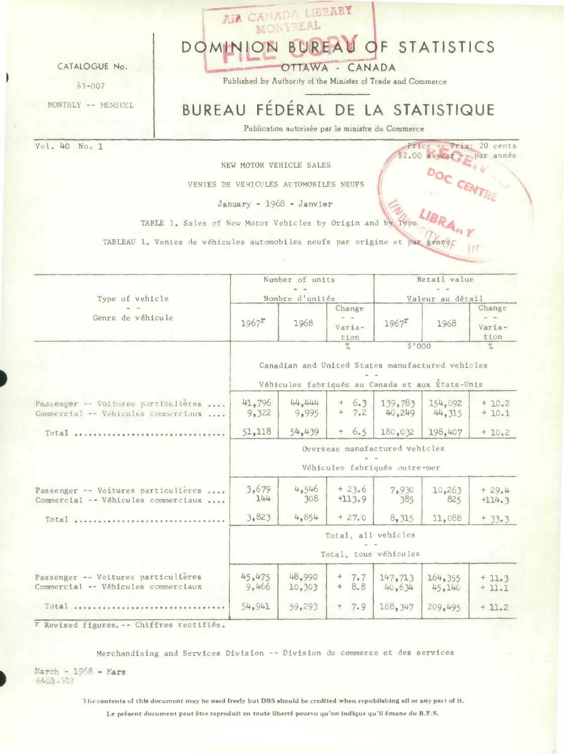CATALOGUE No.

 $63 - 007$ 

MONTHLY -- MENSUEL

Vol. 40 No. 1

DOMINION BUREAU OF STATISTICS

OTTAWA - CANADA

AIA CENTER LIERARY MONTREAL

Published by Authority of the Minister of Trade and Commerce

# BUREAU FÉDÉRAL DE LA STATISTIQUE

Price -- Prix: 20 cents<br>\$2.00 a year -- par année

DOC. CENTRE

**IIE** 

Publication autorisée par le ministre du Commerce

NEW MOTOR VEHICLE SALES

VENTES DE VEHICULES AUTOMOBILES NEUFS

# January - 1968 - Janvier

TABLE 1. Sales of New Motor Vehicles by Origin and by Type

TABLEAU 1. Ventes de véhicules automobiles neufs par origine et par genvel

|                                                                            |                                                                 | Number of units  |                          | Retail value                                                                                        |                   |                          |  |  |
|----------------------------------------------------------------------------|-----------------------------------------------------------------|------------------|--------------------------|-----------------------------------------------------------------------------------------------------|-------------------|--------------------------|--|--|
| Type of vehicle                                                            |                                                                 | Nombre d'unités  |                          | Valeur au détail                                                                                    |                   |                          |  |  |
| Genre de véhicule                                                          | $1967$ <sup>r</sup>                                             | 1968             | Change<br>Varia-<br>tion | $1967$ <sup>r</sup>                                                                                 | 1968              | Change<br>Varia-<br>tion |  |  |
|                                                                            |                                                                 |                  | $\overline{\gamma}$      | \$'000                                                                                              |                   | $\frac{1}{2}$            |  |  |
|                                                                            |                                                                 |                  |                          | Canadian and United States manufactured vehicles<br>Véhicules fabriqués au Canada et aux États-Unis |                   |                          |  |  |
| Passeager -- Voitures particulières<br>Commercial -- Véhicules commerciaux | 41,796<br>9,322                                                 | 44.444<br>9,995  | $+ 6.3$<br>$+ 7.2$       | 139,783<br>40,249                                                                                   | 154,092<br>44.315 | $+10.2$<br>$+10.1$       |  |  |
|                                                                            | 51,118                                                          | 54,439           | $+ 6.5$                  | 180,032                                                                                             | 198.407           | $+10.2$                  |  |  |
|                                                                            | Overseas manufactured vehicles<br>Véhicules fabriqués outre-mer |                  |                          |                                                                                                     |                   |                          |  |  |
| Passenger -- Voitures particulières<br>Commercial -- Véhicules commerciaux | 3,679<br>144                                                    | 4,546<br>308     | $+23.6$<br>$+113.9$      | 7,930<br>385                                                                                        | 10,263<br>825     | $+29.4$<br>$+114.3$      |  |  |
| $Total$                                                                    | 3,823                                                           | 4,854            | $+27.0$                  | 8,315                                                                                               | 11,088            | $+33.3$                  |  |  |
|                                                                            | Total, all vehicles                                             |                  |                          |                                                                                                     |                   |                          |  |  |
|                                                                            |                                                                 |                  |                          | Total, tous véhicules                                                                               |                   |                          |  |  |
| Passenger -- Voitures particulières<br>Commercial -- Véhicules commerciaux | 45,475<br>9,466                                                 | 48.990<br>10,303 | $+$<br>7.7<br>8.8<br>$+$ | 147, 713<br>40,634                                                                                  | 164,355<br>45,140 | $+11.3$<br>$+11.1$       |  |  |
| Total                                                                      | 54,941                                                          | 59,293           | $+$<br>7.9               | 188,347                                                                                             | 209,495           | $+11.2$                  |  |  |

T Revised figures. -- Chiffres rectifiés.

Merchandising and Services Division -- Division du commerce et des services

 $March - 1968 - Mars$  $6403 - 567$ 

> The contents of this document may be used freely but DBS should be credited when republishing all or any part of it. Le présent document peut être reproduit en toute liberté pourvu qu'on indique qu'il émane du B.F.S.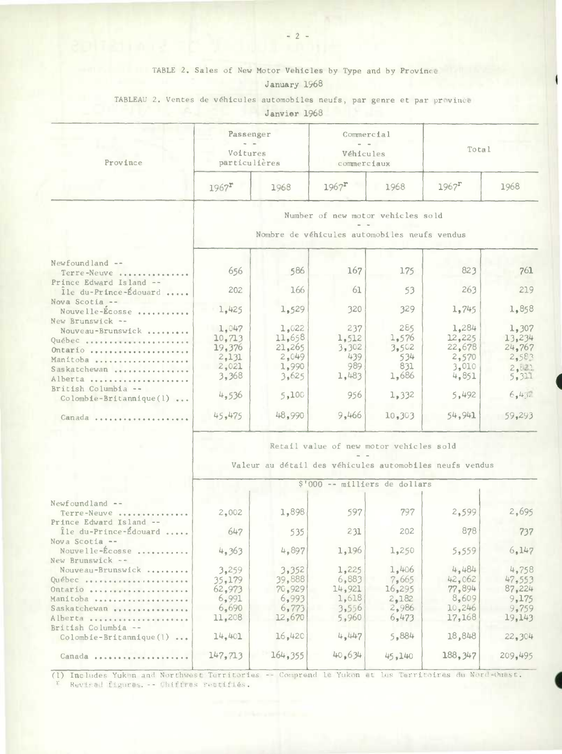# TABLE 2. Sales of New Motor Vehicles by Type and by Province

## January 1968

#### TABLEAU 2. **Ventes de véhicules automobiles neufs, par genre et par** province

Janvier 1968

| Province | Passenger<br>Voitures<br>particulières |      | Commercial<br>- -<br>Véhicules<br>commerciaux |      | Total               |      |  |
|----------|----------------------------------------|------|-----------------------------------------------|------|---------------------|------|--|
|          | $1967$ <sup>r</sup>                    | 1968 | $1967$ <sup>r</sup>                           | 1968 | $1967$ <sup>r</sup> | 1968 |  |

#### **Number** of **new motor vehicles sold**

 $\alpha = 0.05$ **Nombre de véhicules automobiles neufs vendus** 

|  |  | MARRIT AT A CHEFATO DARAGATA TAG HADITA APUNDUD |  |
|--|--|-------------------------------------------------|--|
|  |  |                                                 |  |
|  |  |                                                 |  |

| Newfoundland --<br>Terre-Neuve                                                                    | 656                                                  | 586                                                               | 167                                          | 175                                          | 823                                                  | 761                                                  |
|---------------------------------------------------------------------------------------------------|------------------------------------------------------|-------------------------------------------------------------------|----------------------------------------------|----------------------------------------------|------------------------------------------------------|------------------------------------------------------|
| Prince Edward Island --<br>Ile du-Prince-Édouard                                                  | 202                                                  | 166                                                               | 61                                           | 53                                           | 263                                                  | 219                                                  |
| Nova Scotia --<br>Nouvelle-Ecosse                                                                 | 1,425                                                | 1,529                                                             | 320                                          | 329                                          | 1.745                                                | 1,858                                                |
| New Brunswick --<br>Nouveau-Brunswick<br>Québec<br>Ontario<br>Manitoba<br>Saskatchewan<br>Alberta | 1.047<br>10.713<br>19,376<br>2,131<br>2,021<br>3,368 | l <sub>e</sub> 022<br>11.658<br>21,265<br>2,049<br>1,990<br>3,625 | 237<br>1.512<br>3,302<br>439<br>989<br>1,483 | 285<br>1.576<br>3,502<br>534<br>831<br>1,686 | 1.284<br>12.225<br>22.678<br>2.570<br>3.010<br>4.851 | 1,307<br>13,234<br>24,767<br>2,583<br>2.821<br>5.311 |
| British Columbia --<br>$Colombie-Britannique(1) $                                                 | 4,536                                                | 5,100                                                             | 956                                          | 1.332                                        | 5,492                                                | 6,432                                                |
| Canada                                                                                            | 45,475                                               | 48.990                                                            | 9.466                                        | 10,303                                       | 54.941                                               | 59.293                                               |
|                                                                                                   |                                                      |                                                                   |                                              |                                              |                                                      |                                                      |

#### **Retail value of new motor vehicles sold**  J.

**Valeur au detail des véhicules automobiles neufs vendus** 

|                                                  | \$'000 -- milliers de dollars |                 |                 |                 |                  |                 |  |  |  |
|--------------------------------------------------|-------------------------------|-----------------|-----------------|-----------------|------------------|-----------------|--|--|--|
| $Newfoundland --$<br>Terre-Neuve                 | 2.002                         | 1,898           | 597             | 797             | 2.599            | 2,695           |  |  |  |
| Prince Edward Island --<br>Île du-Prince-Édouard | 647                           | 535             | 231             | 202             | 878              | 737             |  |  |  |
| Nova Scotia --<br>Nouvelle-Écosse                | 4,363                         | 4,897           | 1,196           | 1,250           | 5,559            | 6.147           |  |  |  |
| New Brunswick --<br>Nouveau-Brunswick<br>Québec  | 3,259<br>35.179               | 3.352<br>39.888 | 1,225<br>6,883  | 1,406<br>7,665  | 4.484<br>42.062  | 4,758<br>47.553 |  |  |  |
| Ontario                                          | 62.973<br>6.991               | 70.929<br>6.993 | 14,921<br>1,618 | 16,295<br>2.182 | 77.894<br>8,609  | 87.224<br>9.175 |  |  |  |
| Manitoba<br>Saskatchewan                         | 6,690<br>11,208               | 6.773<br>12,670 | 3,556<br>5.960  | 2.986<br>6.473  | 10,246<br>17.168 | 9,759<br>19.143 |  |  |  |
| Alberta<br>British Columbia --                   | 14.401                        | 16.420          | 4.447           | 5,884           | 18,848           | 22.304          |  |  |  |
| $Colombie-Britannique(1) $<br>Canada             | 147, 713                      | 164,355         | 40.634          | 45.140          | 188,347          | 209.495         |  |  |  |
|                                                  |                               |                 |                 |                 |                  |                 |  |  |  |

(1) Includes Yukon and Northwest Territories -- Comprend 1e Yukon et les Territoires du Nord-Ouest. Revised figures. -- Chiffres reetifiés.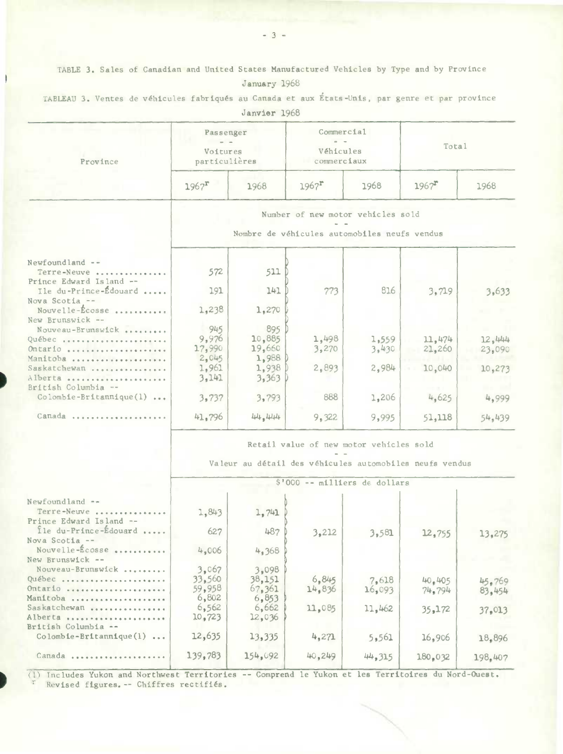TABLE 3. Sales of Canadian and United States Manufactured Vehicles by Type and by Province

| January 1968 |  |
|--------------|--|
|              |  |

|                                                                                                                                                                                                                                                                                                                                            |                       | nellatel. Tann                                          |                                         |        |                     |         |
|--------------------------------------------------------------------------------------------------------------------------------------------------------------------------------------------------------------------------------------------------------------------------------------------------------------------------------------------|-----------------------|---------------------------------------------------------|-----------------------------------------|--------|---------------------|---------|
|                                                                                                                                                                                                                                                                                                                                            | Passenger<br>Voitures |                                                         | Commercial<br>Véhicules                 |        | Total               |         |
| Province                                                                                                                                                                                                                                                                                                                                   | particulières         |                                                         | commerciaux                             |        |                     |         |
| Newfoundland --<br>Terre-Neuve<br>Prince Edward Island --<br>Ile du-Prince-Édouard<br>Nouvelle-Écosse<br>Nouveau-Brunswick<br>Ontario<br>Manitoba<br>Saskatchewan<br>Alberta<br>$Colomble-Britannique(1) $<br>Canada<br>Newfoundland --<br>Terre-Neuve<br>fle du-Prince-Édouard<br>Nouveau-Brunswick<br>Ontario<br>Saskatchewan<br>Alberta | $1967$ <sup>r</sup>   | 1968                                                    | $1967$ <sup>r</sup>                     | 1968   | $1967$ <sup>r</sup> | 1968    |
|                                                                                                                                                                                                                                                                                                                                            |                       |                                                         | Number of new motor vehicles sold       |        |                     |         |
|                                                                                                                                                                                                                                                                                                                                            |                       | Nombre de véhicules automobiles neufs vendus            |                                         |        |                     |         |
|                                                                                                                                                                                                                                                                                                                                            |                       |                                                         |                                         |        |                     |         |
|                                                                                                                                                                                                                                                                                                                                            | 572                   | 511                                                     |                                         |        |                     |         |
| Nova Scotia --                                                                                                                                                                                                                                                                                                                             | 191                   | 141                                                     | 773                                     | 816    | 3,719               | 3,633   |
| New Brunswick --                                                                                                                                                                                                                                                                                                                           | 1,238                 | 1,270                                                   |                                         |        |                     |         |
|                                                                                                                                                                                                                                                                                                                                            | 945                   | 895                                                     |                                         |        |                     |         |
| Québec                                                                                                                                                                                                                                                                                                                                     | 9,976                 | 10,885                                                  | 1,498                                   | 1,559  | 11,474              | 12,444  |
|                                                                                                                                                                                                                                                                                                                                            | 17,990                | 19,660                                                  | 3,270                                   | 3,430  | 21,260              | 23,090  |
|                                                                                                                                                                                                                                                                                                                                            | 2,045                 | 1,988                                                   |                                         |        |                     |         |
|                                                                                                                                                                                                                                                                                                                                            | 1,961                 | 1,938                                                   | 2,893                                   | 2,984  | 10,040              | 10,273  |
| British Columbia --                                                                                                                                                                                                                                                                                                                        | 3,141                 | 3,363                                                   |                                         |        |                     |         |
|                                                                                                                                                                                                                                                                                                                                            | 3,737                 | 3,793                                                   | 888                                     | 1,206  | 4,625               | 4,999   |
|                                                                                                                                                                                                                                                                                                                                            | 41,796                | 444, 4444                                               | 9,322                                   | 9,995  | 51,118              | 54,439  |
|                                                                                                                                                                                                                                                                                                                                            |                       |                                                         | Retail value of new motor vehicles sold |        |                     |         |
|                                                                                                                                                                                                                                                                                                                                            |                       | Valeur au détail des véhicules automobiles neufs vendus |                                         |        |                     |         |
|                                                                                                                                                                                                                                                                                                                                            |                       |                                                         | \$'000 -- milliers de dollars           |        |                     |         |
|                                                                                                                                                                                                                                                                                                                                            |                       |                                                         |                                         |        |                     |         |
| Prince Edward Island --                                                                                                                                                                                                                                                                                                                    | 1,843                 | 1,741                                                   |                                         |        |                     |         |
| Nova Scotia --                                                                                                                                                                                                                                                                                                                             | 627                   | 487                                                     | 3,212                                   | 3,581  | 12,755              | 13,275  |
| Nouvelle-Ecosse.<br>New Brunswick --                                                                                                                                                                                                                                                                                                       | 4,006                 | 4,368                                                   |                                         |        |                     |         |
|                                                                                                                                                                                                                                                                                                                                            | 3,067                 | 3,098                                                   |                                         |        |                     |         |
| Québec                                                                                                                                                                                                                                                                                                                                     | 33,560                | 38,151                                                  | 6,845                                   | 7,618  | 40,405              | 45.769  |
|                                                                                                                                                                                                                                                                                                                                            | 59,958                | 67,361                                                  | 14,836                                  | 16,093 | 74,794              | 83,454  |
| Manitoba                                                                                                                                                                                                                                                                                                                                   | 6,802                 | 6,853                                                   |                                         |        |                     |         |
|                                                                                                                                                                                                                                                                                                                                            | 6,562                 | 6,662                                                   | 11,085                                  | 11,462 | 35,172              | 37,013  |
| British Columbia --                                                                                                                                                                                                                                                                                                                        | 10,723                | 12,036                                                  |                                         |        |                     |         |
| $Colomble-Britannique(1) $                                                                                                                                                                                                                                                                                                                 | 12,635                | 13,335                                                  | 4,271                                   | 5,561  | 16,906              | 18,896  |
| Canada                                                                                                                                                                                                                                                                                                                                     | 139,783               | 154,092                                                 | 40,249                                  | 44,315 | 180,032             | 198,407 |
|                                                                                                                                                                                                                                                                                                                                            |                       |                                                         |                                         |        |                     |         |

TABLEAU 3. Ventes de véhicules fabriqués au Canada et aux États-Unis, par genre et par province Janvier 1968

(1) Includes Yukon and Northwest Territories -- Comprend le Yukon et les Territoires du Nord-Ouest. Revised figures. -- Chiffres rectifiés.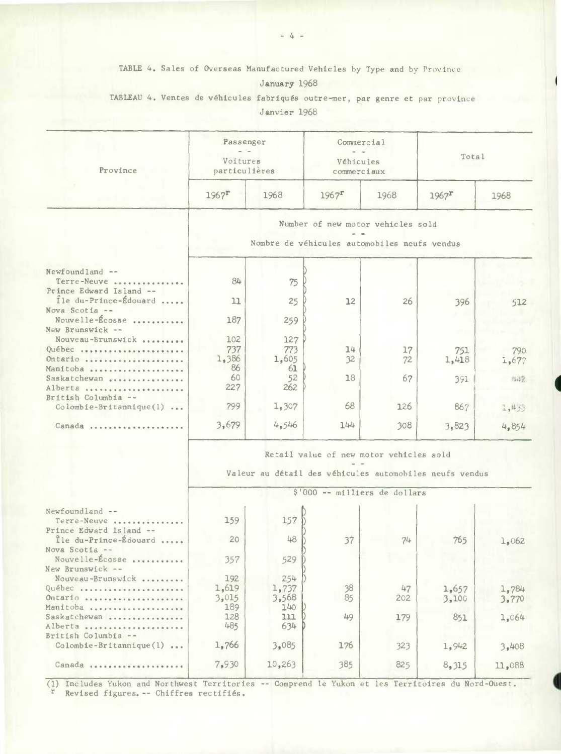TABLE 4. Sales of Overseas Manufactured Vehicles by Type and by Province

### January 1968

TABLEAU 4. Ventes de véhicules fabriqués outre-mer, par genre et par province Janvier 1968

| Province<br>Newfoundland --<br>Terre-Neuve<br>Prince Edward Island --<br>Ile du-Prince-Édouard<br>Nova Scotia --<br>Nouvelle-Écosse<br>New Brunswick --<br>Nouveau-Brunswick<br>Québec<br>Ontario<br>Manitoba<br>Saskatchewan<br>Alberta<br>British Columbia --<br>$\text{Colombie-Britannique}(1) \ldots$<br>Canada<br>Newfoundland --<br>Terre-Neuve<br>Prince Edward Island --<br>Île du-Prince-Édouard<br>Nova Scotia --<br>Nouvelle-Écosse<br>New Brunswick --<br>Nouveau-Brunswick<br>Québec<br>Ontario<br>Manitoba<br>Saskatchewan<br>Alberta | Passenger<br>Voitures<br>particulières                                                             |                           | Commercial<br>Véhicules<br>commerciaux                                            |           | Total               |                |  |  |  |
|------------------------------------------------------------------------------------------------------------------------------------------------------------------------------------------------------------------------------------------------------------------------------------------------------------------------------------------------------------------------------------------------------------------------------------------------------------------------------------------------------------------------------------------------------|----------------------------------------------------------------------------------------------------|---------------------------|-----------------------------------------------------------------------------------|-----------|---------------------|----------------|--|--|--|
|                                                                                                                                                                                                                                                                                                                                                                                                                                                                                                                                                      | $1967$ <sup>r</sup>                                                                                | 1968                      | $1967$ <sup>r</sup>                                                               | 1968      | $1967$ <sup>r</sup> | 1968           |  |  |  |
|                                                                                                                                                                                                                                                                                                                                                                                                                                                                                                                                                      |                                                                                                    |                           | Number of new motor vehicles sold<br>Nombre de véhicules automobiles neufs vendus |           |                     |                |  |  |  |
|                                                                                                                                                                                                                                                                                                                                                                                                                                                                                                                                                      | 84<br>11                                                                                           | 75                        | 12                                                                                | 26        |                     |                |  |  |  |
|                                                                                                                                                                                                                                                                                                                                                                                                                                                                                                                                                      | 187                                                                                                | 25<br>259                 |                                                                                   |           | 396                 | 512            |  |  |  |
|                                                                                                                                                                                                                                                                                                                                                                                                                                                                                                                                                      | 102<br>737<br>1,386<br>86                                                                          | 127<br>773<br>1,605<br>61 | 14<br>32                                                                          | 17<br>72  | 751<br>1,418        | 790<br>1,677   |  |  |  |
|                                                                                                                                                                                                                                                                                                                                                                                                                                                                                                                                                      | 60<br>227<br>799                                                                                   | 52<br>262<br>1,307        | 18<br>68                                                                          | 67<br>126 | 391<br>867          | 三四山之<br>1,433  |  |  |  |
|                                                                                                                                                                                                                                                                                                                                                                                                                                                                                                                                                      | 3,679                                                                                              | 4,546                     | 144                                                                               | 308       | 3,823               | 4,854          |  |  |  |
|                                                                                                                                                                                                                                                                                                                                                                                                                                                                                                                                                      | Retail value of new motor vehicles sold<br>Valeur au détail des véhicules automobiles neufs vendus |                           |                                                                                   |           |                     |                |  |  |  |
|                                                                                                                                                                                                                                                                                                                                                                                                                                                                                                                                                      |                                                                                                    |                           | \$'000 -- milliers de dollars                                                     |           |                     |                |  |  |  |
|                                                                                                                                                                                                                                                                                                                                                                                                                                                                                                                                                      | 159                                                                                                | 157                       |                                                                                   |           |                     |                |  |  |  |
|                                                                                                                                                                                                                                                                                                                                                                                                                                                                                                                                                      | 20<br>357                                                                                          | 48<br>529                 | 37                                                                                | 74        | 765                 | 1,062          |  |  |  |
|                                                                                                                                                                                                                                                                                                                                                                                                                                                                                                                                                      | 192<br>1,619<br>3,015                                                                              | 254<br>1,737<br>3,568     | 38<br>85                                                                          | 47<br>202 | 1,657<br>3,100      | 1,784<br>3,770 |  |  |  |
| British Columbia --                                                                                                                                                                                                                                                                                                                                                                                                                                                                                                                                  | 189<br>128<br>485                                                                                  | 140<br>111<br>634         | 49                                                                                | 179       | 851                 | 1,064          |  |  |  |
| Colombie-Britannique(1)                                                                                                                                                                                                                                                                                                                                                                                                                                                                                                                              | 1,766                                                                                              | 3,085                     | 176                                                                               | 323       | 1,942               | 3,408          |  |  |  |
| Canada                                                                                                                                                                                                                                                                                                                                                                                                                                                                                                                                               | 7,930                                                                                              | 10,263                    | 385                                                                               | 825       | 8,315               | 11,088         |  |  |  |

(1) Includes Yukon and Northwest Territories -- Comprend Is Yukon et lea Territoires du Nord-Ouest. r Revised figures.-- Chiffres rectifiés.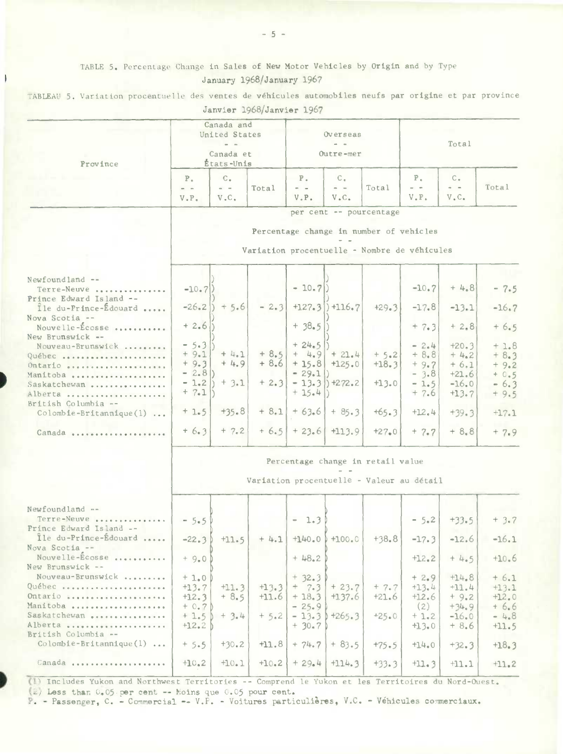# TABLE 5. Percentage Change in Sales of New Motor Vehicles by Origin and by Type January 1968/January 1967

TABLEAU 5. Variation procentuelle des ventes de véhicules automobiles neufs par origine et par province Janvier 1968/Janvier 1967

| Province                                                                                                                                                                       | Canada and<br>United States<br>Canada et<br>États-Unis                         |                                                  |                              | Overseas<br>Outre-mer                                          |                                                                                                                                                                                                                                                                                                                                                                                                                                                                                                                                                                                                                                                                                                                                                                                                                                                                                                                                                                                                                                                                                                                                                                                                                                                                                                                                                                                                                                                                                                     |       | Total |  |                                                                               |
|--------------------------------------------------------------------------------------------------------------------------------------------------------------------------------|--------------------------------------------------------------------------------|--------------------------------------------------|------------------------------|----------------------------------------------------------------|-----------------------------------------------------------------------------------------------------------------------------------------------------------------------------------------------------------------------------------------------------------------------------------------------------------------------------------------------------------------------------------------------------------------------------------------------------------------------------------------------------------------------------------------------------------------------------------------------------------------------------------------------------------------------------------------------------------------------------------------------------------------------------------------------------------------------------------------------------------------------------------------------------------------------------------------------------------------------------------------------------------------------------------------------------------------------------------------------------------------------------------------------------------------------------------------------------------------------------------------------------------------------------------------------------------------------------------------------------------------------------------------------------------------------------------------------------------------------------------------------------|-------|-------|--|-------------------------------------------------------------------------------|
|                                                                                                                                                                                | $P_{\alpha}$<br>$\sim$ $-$<br>$V \cdot P \cdot$                                | $C_{+}$<br>$\omega \rightarrow -\infty$<br>V.C.  | Total                        | $P_{+}$<br>$\frac{1}{2} \left( \frac{1}{2} \right)$<br>V.P.    | $P_{A}$<br>$C_{\bullet}$<br>$C_{\bullet}$<br>$\frac{1}{2} \frac{1}{2} \frac{1}{2} \frac{1}{2} \frac{1}{2} \frac{1}{2} \frac{1}{2} \frac{1}{2} \frac{1}{2} \frac{1}{2} \frac{1}{2} \frac{1}{2} \frac{1}{2} \frac{1}{2} \frac{1}{2} \frac{1}{2} \frac{1}{2} \frac{1}{2} \frac{1}{2} \frac{1}{2} \frac{1}{2} \frac{1}{2} \frac{1}{2} \frac{1}{2} \frac{1}{2} \frac{1}{2} \frac{1}{2} \frac{1}{2} \frac{1}{2} \frac{1}{2} \frac{1}{2} \frac{$<br>Total<br>$\alpha = -$<br>$\sim 100$<br>$V$ . $C$ .<br>V.P.<br>$V_{\bullet}C_{\bullet}$<br>per cent -- pourcentage<br>Percentage change in number of vehicles<br>Variation procentuelle - Nombre de véhicules<br>$+4.8$<br>$-10.7$<br>$+127.3$ $+116.7$<br>$+29.3$<br>$-17.8$<br>$-13.1$<br>$+ 38.5$<br>$+ 7.3$<br>$+2,8$<br>$= 2.4$<br>$+20.3$<br>$+ 4.9 + 21.4$<br>$+5.2$<br>$+8.8$<br>$+ 4.2$<br>$+8.6$ + 15.8 + 125.0<br>$+18.3$<br>$+9.7$<br>$+6.1$<br>$-3.8$<br>$+21.6$<br>$-13.3$ +272.2<br>$+13.0$<br>$-16.0$<br>$-1.5$<br>$+7.6$<br>$+13.7$<br>$+63.6$ + 85.3<br>$+65.3$<br>$+12.4$<br>$+39.3$<br>$+6.5$ + 23.6 + 113.9<br>$+27.0$<br>$+8.8$<br>$+ 7.7$<br>$-5.2$<br>$+33.5$<br>$+140.0$ +100.0<br>$+38.8$<br>$-17.3$<br>$-12.6$<br>$+12.2$<br>$+4.5$<br>$+2.9$<br>$+14.8$<br>$+23.7$<br>$+7.7$<br>$+13.4$<br>$+11.4$<br>$+21.6$<br>$+9.2$<br>$+137.6$<br>$+12.6$<br>(2)<br>$+34.9$<br>$1+265.3$<br>$+25.0$<br>$+1.2$<br>$-16.0$<br>$+13.0$<br>$+8.6$<br>$+83.5$<br>$+75.5$<br>$+14.0$<br>$+32.3$<br>$+114.3$<br>$+33.3$<br>$+11.3$<br>$+11.1$ | Total |       |  |                                                                               |
|                                                                                                                                                                                |                                                                                |                                                  |                              |                                                                |                                                                                                                                                                                                                                                                                                                                                                                                                                                                                                                                                                                                                                                                                                                                                                                                                                                                                                                                                                                                                                                                                                                                                                                                                                                                                                                                                                                                                                                                                                     |       |       |  |                                                                               |
| Newfoundland --<br>Terre-Neuve<br>Prince Edward Island --                                                                                                                      | $-10.7$                                                                        |                                                  |                              | $-10.7$                                                        |                                                                                                                                                                                                                                                                                                                                                                                                                                                                                                                                                                                                                                                                                                                                                                                                                                                                                                                                                                                                                                                                                                                                                                                                                                                                                                                                                                                                                                                                                                     |       |       |  | $-7.5$                                                                        |
| Ile du-Prince-Edouard<br>Nova Scotia --<br>Nouvelle-Écosse                                                                                                                     | $-26.2$<br>$+2.6$                                                              | $+5.6$                                           | $-2.3$                       |                                                                |                                                                                                                                                                                                                                                                                                                                                                                                                                                                                                                                                                                                                                                                                                                                                                                                                                                                                                                                                                                                                                                                                                                                                                                                                                                                                                                                                                                                                                                                                                     |       |       |  | $-16.7$<br>$+6.5$                                                             |
| New Brunswick --<br>Nouveau-Brunswick<br>Québec<br>Ontario<br>Manitoba<br>Saskatchewan<br>Alberta<br>British Columbia --<br>$\text{Colomb}$ <b>Le-Britannique(1)</b><br>Canada | $-5.3$<br>$+9.1$<br>$+9.3$<br>$-2.8$<br>$-1.2$<br>$+ 7.1$<br>$+1.5$<br>$+6.3$  | $+4.1$<br>$+4.9$<br>$+3.1$<br>$+35.8$<br>$+ 7.2$ | $+ 8.5$<br>$+2.3$<br>$+ 8.1$ | $+24.5$<br>$= 29.1()$<br>$+15.4$                               |                                                                                                                                                                                                                                                                                                                                                                                                                                                                                                                                                                                                                                                                                                                                                                                                                                                                                                                                                                                                                                                                                                                                                                                                                                                                                                                                                                                                                                                                                                     |       |       |  | $+1.8$<br>$+8.3$<br>$+9.2$<br>$+0.5$<br>$-6.3$<br>$+9.5$<br>$+17.1$<br>$+7.9$ |
|                                                                                                                                                                                | Percentage change in retail value<br>Variation procentuelle - Valeur au détail |                                                  |                              |                                                                |                                                                                                                                                                                                                                                                                                                                                                                                                                                                                                                                                                                                                                                                                                                                                                                                                                                                                                                                                                                                                                                                                                                                                                                                                                                                                                                                                                                                                                                                                                     |       |       |  |                                                                               |
| Newfoundland --<br>Terre-Neuve<br>Prince Edward Island --<br>Ile du-Prince-Édouard                                                                                             | $-5.5$<br>$-22.3$                                                              | $+11.5$                                          | $+4.1$                       | $-1.3$                                                         |                                                                                                                                                                                                                                                                                                                                                                                                                                                                                                                                                                                                                                                                                                                                                                                                                                                                                                                                                                                                                                                                                                                                                                                                                                                                                                                                                                                                                                                                                                     |       |       |  | $+3.7$<br>$-16.1$                                                             |
| Nova Scotia --<br>Nouvelle-Écosse                                                                                                                                              | $+9.0$                                                                         |                                                  |                              | $+48.2$                                                        |                                                                                                                                                                                                                                                                                                                                                                                                                                                                                                                                                                                                                                                                                                                                                                                                                                                                                                                                                                                                                                                                                                                                                                                                                                                                                                                                                                                                                                                                                                     |       |       |  | $+10.6$                                                                       |
| New Brunswick --<br>Nouveau-Brunswick<br>Québec<br>Ontario<br>Manitoba<br>Saskatchewan<br>Alberta<br>British Columbia --<br>$Colomb1e-Br1tann1que(1) $                         | $+1.0$<br>$+13.7$<br>$+12.3$<br>$+0.7$<br>$+1.5$<br>$+12.2$                    | $+11.3$<br>$+8.5$<br>$+ 3.4$                     | $+13.3$<br>$+11.6$<br>$+5.2$ | $+32.3$<br>$+ 7.3$<br>$+18.3$<br>$-25.9$<br>$-13.3$<br>$+30.7$ |                                                                                                                                                                                                                                                                                                                                                                                                                                                                                                                                                                                                                                                                                                                                                                                                                                                                                                                                                                                                                                                                                                                                                                                                                                                                                                                                                                                                                                                                                                     |       |       |  | $+6.1$<br>$+13.1$<br>$+12.0$<br>$+6.6$<br>$-4.8$<br>$+11.5$                   |
| Canada                                                                                                                                                                         | $+5.5$<br>$+10.2$                                                              | $+30.2$<br>$+10.1$                               | $+11.8$<br>$+10.2$           | $+74.7$<br>$+29.4$                                             |                                                                                                                                                                                                                                                                                                                                                                                                                                                                                                                                                                                                                                                                                                                                                                                                                                                                                                                                                                                                                                                                                                                                                                                                                                                                                                                                                                                                                                                                                                     |       |       |  | $+18.3$<br>$+11.2$                                                            |

(1) Includes Yukon and Northwest Territories -- Comprend le Yukon et les Territoires du Nord-Ouest. (2) Less than 0.05 per cent -- Moins que 0.05 pour cent.

P. - Passenger, C. - Commercial -- V.P. - Voitures particulières, V.C. - Véhicules commerciaux.